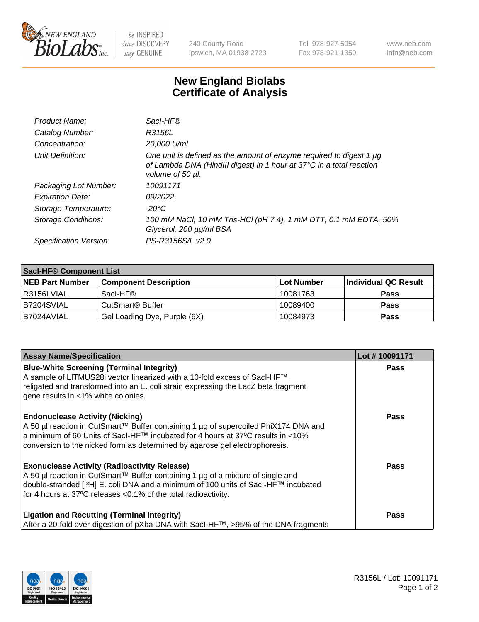

 $be$  INSPIRED drive DISCOVERY stay GENUINE

240 County Road Ipswich, MA 01938-2723 Tel 978-927-5054 Fax 978-921-1350 www.neb.com info@neb.com

## **New England Biolabs Certificate of Analysis**

| Product Name:           | Sacl-HF®                                                                                                                                                        |
|-------------------------|-----------------------------------------------------------------------------------------------------------------------------------------------------------------|
| Catalog Number:         | R3156L                                                                                                                                                          |
| Concentration:          | 20,000 U/ml                                                                                                                                                     |
| Unit Definition:        | One unit is defined as the amount of enzyme required to digest 1 µg<br>of Lambda DNA (HindIII digest) in 1 hour at 37°C in a total reaction<br>volume of 50 µl. |
| Packaging Lot Number:   | 10091171                                                                                                                                                        |
| <b>Expiration Date:</b> | 09/2022                                                                                                                                                         |
| Storage Temperature:    | $-20^{\circ}$ C                                                                                                                                                 |
| Storage Conditions:     | 100 mM NaCl, 10 mM Tris-HCl (pH 7.4), 1 mM DTT, 0.1 mM EDTA, 50%<br>Glycerol, 200 µg/ml BSA                                                                     |
| Specification Version:  | PS-R3156S/L v2.0                                                                                                                                                |

| <b>Saci-HF® Component List</b> |                              |            |                      |  |
|--------------------------------|------------------------------|------------|----------------------|--|
| <b>NEB Part Number</b>         | <b>Component Description</b> | Lot Number | Individual QC Result |  |
| l R3156LVIAL                   | Sacl-HF®                     | 10081763   | <b>Pass</b>          |  |
| IB7204SVIAL                    | CutSmart <sup>®</sup> Buffer | 10089400   | <b>Pass</b>          |  |
| I B7024AVIAL                   | Gel Loading Dye, Purple (6X) | 10084973   | <b>Pass</b>          |  |

| <b>Assay Name/Specification</b>                                                                                                                                                                                                                                                                 | Lot #10091171 |
|-------------------------------------------------------------------------------------------------------------------------------------------------------------------------------------------------------------------------------------------------------------------------------------------------|---------------|
| <b>Blue-White Screening (Terminal Integrity)</b><br>A sample of LITMUS28i vector linearized with a 10-fold excess of SacI-HF™,<br>religated and transformed into an E. coli strain expressing the LacZ beta fragment<br>gene results in <1% white colonies.                                     | <b>Pass</b>   |
| <b>Endonuclease Activity (Nicking)</b><br>A 50 µl reaction in CutSmart™ Buffer containing 1 µg of supercoiled PhiX174 DNA and<br>a minimum of 60 Units of Sacl-HF™ incubated for 4 hours at 37°C results in <10%<br>conversion to the nicked form as determined by agarose gel electrophoresis. | <b>Pass</b>   |
| <b>Exonuclease Activity (Radioactivity Release)</b><br>A 50 µl reaction in CutSmart™ Buffer containing 1 µg of a mixture of single and<br> double-stranded [3H] E. coli DNA and a minimum of 100 units of Sacl-HF™ incubated<br>for 4 hours at 37°C releases < 0.1% of the total radioactivity. | <b>Pass</b>   |
| <b>Ligation and Recutting (Terminal Integrity)</b><br>After a 20-fold over-digestion of pXba DNA with Sacl-HF™, >95% of the DNA fragments                                                                                                                                                       | Pass          |